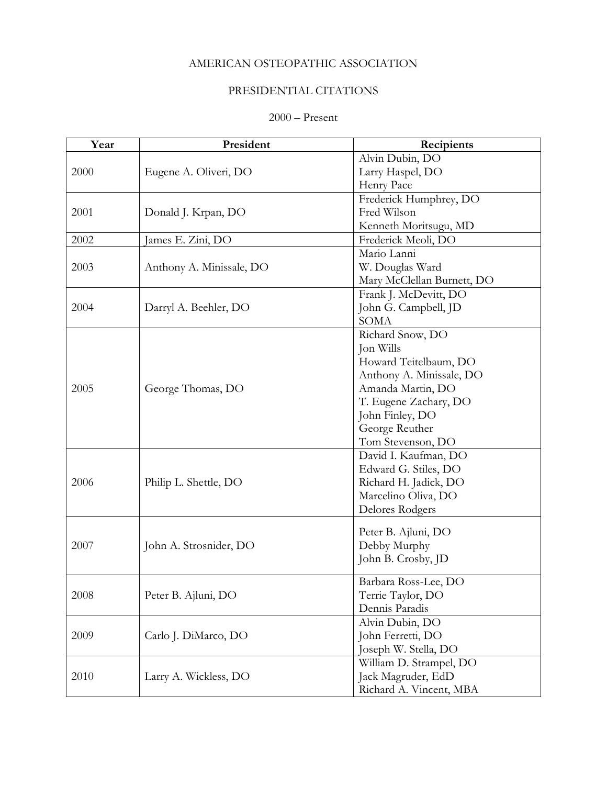## AMERICAN OSTEOPATHIC ASSOCIATION

## PRESIDENTIAL CITATIONS

## 2000 – Present

| Year | President                | Recipients                 |
|------|--------------------------|----------------------------|
| 2000 | Eugene A. Oliveri, DO    | Alvin Dubin, DO            |
|      |                          | Larry Haspel, DO           |
|      |                          | Henry Pace                 |
| 2001 | Donald J. Krpan, DO      | Frederick Humphrey, DO     |
|      |                          | Fred Wilson                |
|      |                          | Kenneth Moritsugu, MD      |
| 2002 | James E. Zini, DO        | Frederick Meoli, DO        |
|      | Anthony A. Minissale, DO | Mario Lanni                |
| 2003 |                          | W. Douglas Ward            |
|      |                          | Mary McClellan Burnett, DO |
|      | Darryl A. Beehler, DO    | Frank J. McDevitt, DO      |
| 2004 |                          | John G. Campbell, JD       |
|      |                          | <b>SOMA</b>                |
|      | George Thomas, DO        | Richard Snow, DO           |
|      |                          | Jon Wills                  |
|      |                          | Howard Teitelbaum, DO      |
|      |                          | Anthony A. Minissale, DO   |
| 2005 |                          | Amanda Martin, DO          |
|      |                          | T. Eugene Zachary, DO      |
|      |                          | John Finley, DO            |
|      |                          | George Reuther             |
|      |                          | Tom Stevenson, DO          |
| 2006 | Philip L. Shettle, DO    | David I. Kaufman, DO       |
|      |                          | Edward G. Stiles, DO       |
|      |                          | Richard H. Jadick, DO      |
|      |                          | Marcelino Oliva, DO        |
|      |                          | Delores Rodgers            |
| 2007 | John A. Strosnider, DO   | Peter B. Ajluni, DO        |
|      |                          | Debby Murphy               |
|      |                          | John B. Crosby, JD         |
|      |                          |                            |
|      | Peter B. Ajluni, DO      | Barbara Ross-Lee, DO       |
| 2008 |                          | Terrie Taylor, DO          |
|      |                          | Dennis Paradis             |
| 2009 | Carlo J. DiMarco, DO     | Alvin Dubin, DO            |
|      |                          | John Ferretti, DO          |
|      |                          | Joseph W. Stella, DO       |
| 2010 | Larry A. Wickless, DO    | William D. Strampel, DO    |
|      |                          | Jack Magruder, EdD         |
|      |                          | Richard A. Vincent, MBA    |